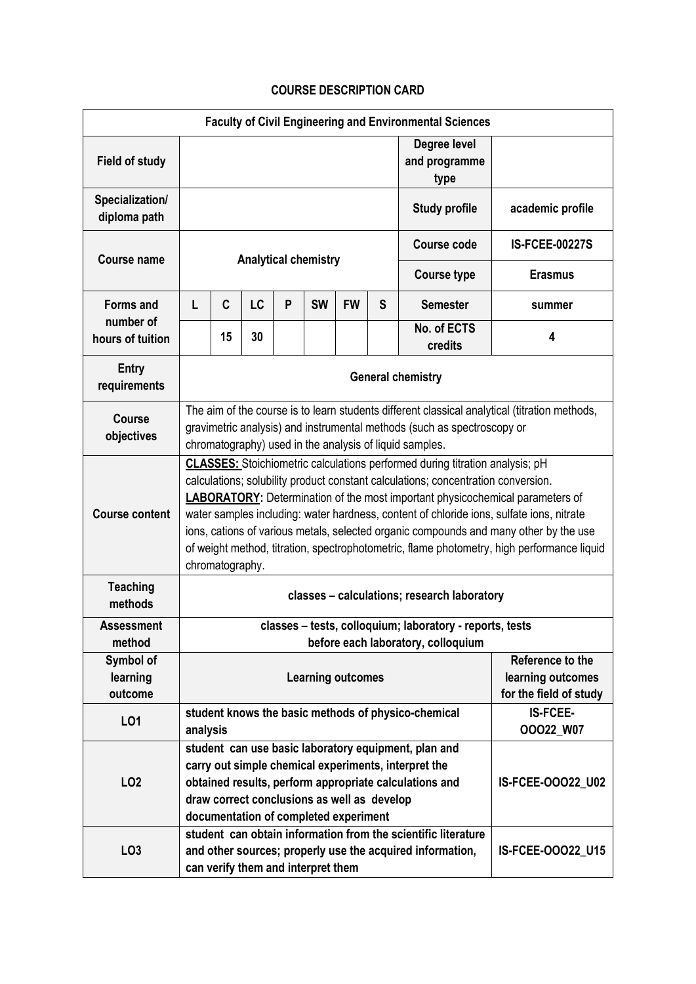## **COURSE DESCRIPTION CARD**

| <b>Faculty of Civil Engineering and Environmental Sciences</b> |                                                                                                                                                                                                                                                                                                                                                                                                                                                                                                                                                                        |    |                                    |   |           |           |                                       |                                                                                                                            |                       |  |  |
|----------------------------------------------------------------|------------------------------------------------------------------------------------------------------------------------------------------------------------------------------------------------------------------------------------------------------------------------------------------------------------------------------------------------------------------------------------------------------------------------------------------------------------------------------------------------------------------------------------------------------------------------|----|------------------------------------|---|-----------|-----------|---------------------------------------|----------------------------------------------------------------------------------------------------------------------------|-----------------------|--|--|
| <b>Field of study</b>                                          |                                                                                                                                                                                                                                                                                                                                                                                                                                                                                                                                                                        |    |                                    |   |           |           | Degree level<br>and programme<br>type |                                                                                                                            |                       |  |  |
| Specialization/<br>diploma path                                |                                                                                                                                                                                                                                                                                                                                                                                                                                                                                                                                                                        |    |                                    |   |           |           |                                       | <b>Study profile</b>                                                                                                       | academic profile      |  |  |
| <b>Course name</b>                                             | <b>Analytical chemistry</b>                                                                                                                                                                                                                                                                                                                                                                                                                                                                                                                                            |    |                                    |   |           |           |                                       | <b>Course code</b>                                                                                                         | <b>IS-FCEE-00227S</b> |  |  |
|                                                                |                                                                                                                                                                                                                                                                                                                                                                                                                                                                                                                                                                        |    |                                    |   |           |           |                                       | <b>Course type</b>                                                                                                         | <b>Erasmus</b>        |  |  |
| <b>Forms and</b>                                               | L                                                                                                                                                                                                                                                                                                                                                                                                                                                                                                                                                                      | C  | <b>LC</b>                          | P | <b>SW</b> | <b>FW</b> | S                                     | <b>Semester</b>                                                                                                            | summer                |  |  |
| number of<br>hours of tuition                                  |                                                                                                                                                                                                                                                                                                                                                                                                                                                                                                                                                                        | 15 | 30                                 |   |           |           |                                       | No. of ECTS<br>credits                                                                                                     | 4                     |  |  |
| <b>Entry</b><br>requirements                                   | <b>General chemistry</b>                                                                                                                                                                                                                                                                                                                                                                                                                                                                                                                                               |    |                                    |   |           |           |                                       |                                                                                                                            |                       |  |  |
| <b>Course</b><br>objectives                                    | The aim of the course is to learn students different classical analytical (titration methods,<br>gravimetric analysis) and instrumental methods (such as spectroscopy or<br>chromatography) used in the analysis of liquid samples.                                                                                                                                                                                                                                                                                                                                    |    |                                    |   |           |           |                                       |                                                                                                                            |                       |  |  |
| <b>Course content</b>                                          | <b>CLASSES:</b> Stoichiometric calculations performed during titration analysis; pH<br>calculations; solubility product constant calculations; concentration conversion.<br><b>LABORATORY:</b> Determination of the most important physicochemical parameters of<br>water samples including: water hardness, content of chloride ions, sulfate ions, nitrate<br>ions, cations of various metals, selected organic compounds and many other by the use<br>of weight method, titration, spectrophotometric, flame photometry, high performance liquid<br>chromatography. |    |                                    |   |           |           |                                       |                                                                                                                            |                       |  |  |
| <b>Teaching</b><br>methods                                     | classes - calculations; research laboratory                                                                                                                                                                                                                                                                                                                                                                                                                                                                                                                            |    |                                    |   |           |           |                                       |                                                                                                                            |                       |  |  |
| <b>Assessment</b><br>method                                    | classes - tests, colloquium; laboratory - reports, tests                                                                                                                                                                                                                                                                                                                                                                                                                                                                                                               |    |                                    |   |           |           |                                       |                                                                                                                            |                       |  |  |
| Symbol of<br>learning<br>outcome                               | before each laboratory, colloquium<br>Reference to the<br>learning outcomes<br><b>Learning outcomes</b>                                                                                                                                                                                                                                                                                                                                                                                                                                                                |    |                                    |   |           |           | for the field of study                |                                                                                                                            |                       |  |  |
| L01                                                            | <b>IS-FCEE-</b><br>student knows the basic methods of physico-chemical<br>OOO22_W07<br>analysis                                                                                                                                                                                                                                                                                                                                                                                                                                                                        |    |                                    |   |           |           |                                       |                                                                                                                            |                       |  |  |
| LO <sub>2</sub>                                                | student can use basic laboratory equipment, plan and<br>carry out simple chemical experiments, interpret the<br>obtained results, perform appropriate calculations and<br>draw correct conclusions as well as develop<br>documentation of completed experiment                                                                                                                                                                                                                                                                                                         |    |                                    |   |           |           |                                       | IS-FCEE-00022_U02                                                                                                          |                       |  |  |
| LO <sub>3</sub>                                                |                                                                                                                                                                                                                                                                                                                                                                                                                                                                                                                                                                        |    | can verify them and interpret them |   |           |           |                                       | student can obtain information from the scientific literature<br>and other sources; properly use the acquired information, | IS-FCEE-00022_U15     |  |  |